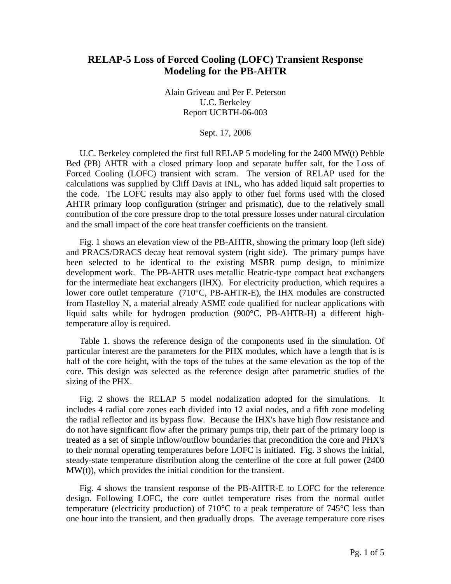## **RELAP-5 Loss of Forced Cooling (LOFC) Transient Response Modeling for the PB-AHTR**

Alain Griveau and Per F. Peterson U.C. Berkeley Report UCBTH-06-003

Sept. 17, 2006

U.C. Berkeley completed the first full RELAP 5 modeling for the 2400 MW(t) Pebble Bed (PB) AHTR with a closed primary loop and separate buffer salt, for the Loss of Forced Cooling (LOFC) transient with scram. The version of RELAP used for the calculations was supplied by Cliff Davis at INL, who has added liquid salt properties to the code. The LOFC results may also apply to other fuel forms used with the closed AHTR primary loop configuration (stringer and prismatic), due to the relatively small contribution of the core pressure drop to the total pressure losses under natural circulation and the small impact of the core heat transfer coefficients on the transient.

Fig. 1 shows an elevation view of the PB-AHTR, showing the primary loop (left side) and PRACS/DRACS decay heat removal system (right side). The primary pumps have been selected to be identical to the existing MSBR pump design, to minimize development work. The PB-AHTR uses metallic Heatric-type compact heat exchangers for the intermediate heat exchangers (IHX). For electricity production, which requires a lower core outlet temperature (710°C, PB-AHTR-E), the IHX modules are constructed from Hastelloy N, a material already ASME code qualified for nuclear applications with liquid salts while for hydrogen production (900°C, PB-AHTR-H) a different hightemperature alloy is required.

Table 1. shows the reference design of the components used in the simulation. Of particular interest are the parameters for the PHX modules, which have a length that is is half of the core height, with the tops of the tubes at the same elevation as the top of the core. This design was selected as the reference design after parametric studies of the sizing of the PHX.

Fig. 2 shows the RELAP 5 model nodalization adopted for the simulations. It includes 4 radial core zones each divided into 12 axial nodes, and a fifth zone modeling the radial reflector and its bypass flow. Because the IHX's have high flow resistance and do not have significant flow after the primary pumps trip, their part of the primary loop is treated as a set of simple inflow/outflow boundaries that precondition the core and PHX's to their normal operating temperatures before LOFC is initiated. Fig. 3 shows the initial, steady-state temperature distribution along the centerline of the core at full power (2400 MW(t)), which provides the initial condition for the transient.

Fig. 4 shows the transient response of the PB-AHTR-E to LOFC for the reference design. Following LOFC, the core outlet temperature rises from the normal outlet temperature (electricity production) of 710°C to a peak temperature of 745°C less than one hour into the transient, and then gradually drops. The average temperature core rises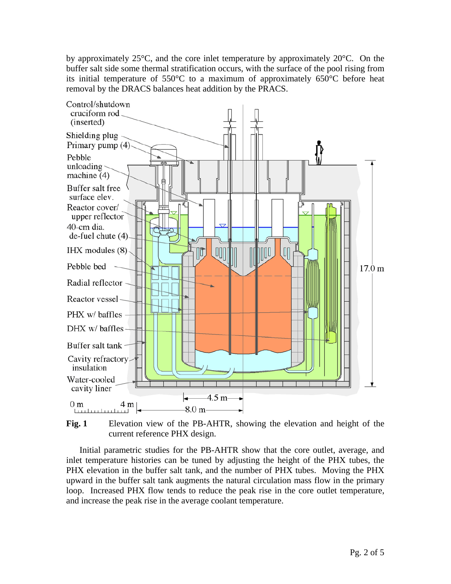by approximately  $25^{\circ}$ C, and the core inlet temperature by approximately  $20^{\circ}$ C. On the buffer salt side some thermal stratification occurs, with the surface of the pool rising from its initial temperature of 550°C to a maximum of approximately 650°C before heat removal by the DRACS balances heat addition by the PRACS.



**Fig. 1** Elevation view of the PB-AHTR, showing the elevation and height of the current reference PHX design.

Initial parametric studies for the PB-AHTR show that the core outlet, average, and inlet temperature histories can be tuned by adjusting the height of the PHX tubes, the PHX elevation in the buffer salt tank, and the number of PHX tubes. Moving the PHX upward in the buffer salt tank augments the natural circulation mass flow in the primary loop. Increased PHX flow tends to reduce the peak rise in the core outlet temperature, and increase the peak rise in the average coolant temperature.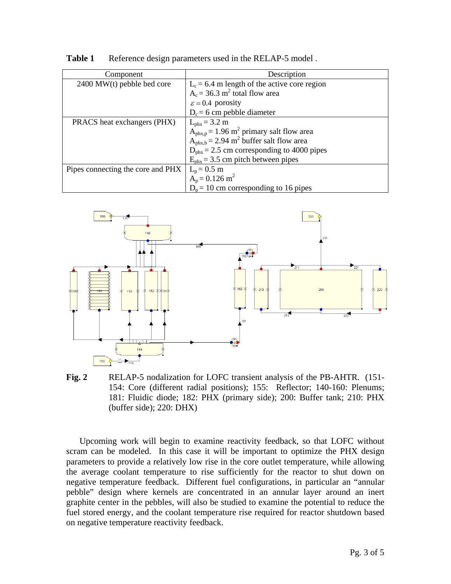| Component                         | Description                                                          |
|-----------------------------------|----------------------------------------------------------------------|
| 2400 MW(t) pebble bed core        | $L_c = 6.4$ m length of the active core region                       |
|                                   | $A_c = 36.3$ m <sup>2</sup> total flow area                          |
|                                   | $\varepsilon$ = 0.4 porosity                                         |
|                                   | $D_c = 6$ cm pebble diameter                                         |
| PRACS heat exchangers (PHX)       | $L_{\rm phx} = 3.2 \; \rm{m}$                                        |
|                                   | $A_{\text{phx,p}} = 1.96 \text{ m}^2 \text{ primary salt flow area}$ |
|                                   | $Aphx,b = 2.94$ m <sup>2</sup> buffer salt flow area                 |
|                                   | $D_{\text{phx}}$ = 2.5 cm corresponding to 4000 pipes                |
|                                   | $E_{\text{phx}}$ = 3.5 cm pitch between pipes                        |
| Pipes connecting the core and PHX | $L_p = 0.5$ m                                                        |
|                                   | $A_p = 0.126$ m <sup>2</sup>                                         |
|                                   | $D_p = 10$ cm corresponding to 16 pipes                              |

Table 1 Reference design parameters used in the RELAP-5 model.



**Fig. 2** RELAP-5 nodalization for LOFC transient analysis of the PB-AHTR. (151- 154: Core (different radial positions); 155: Reflector; 140-160: Plenums; 181: Fluidic diode; 182: PHX (primary side); 200: Buffer tank; 210: PHX (buffer side); 220: DHX)

Upcoming work will begin to examine reactivity feedback, so that LOFC without scram can be modeled. In this case it will be important to optimize the PHX design parameters to provide a relatively low rise in the core outlet temperature, while allowing the average coolant temperature to rise sufficiently for the reactor to shut down on negative temperature feedback. Different fuel configurations, in particular an "annular pebble" design where kernels are concentrated in an annular layer around an inert graphite center in the pebbles, will also be studied to examine the potential to reduce the fuel stored energy, and the coolant temperature rise required for reactor shutdown based on negative temperature reactivity feedback.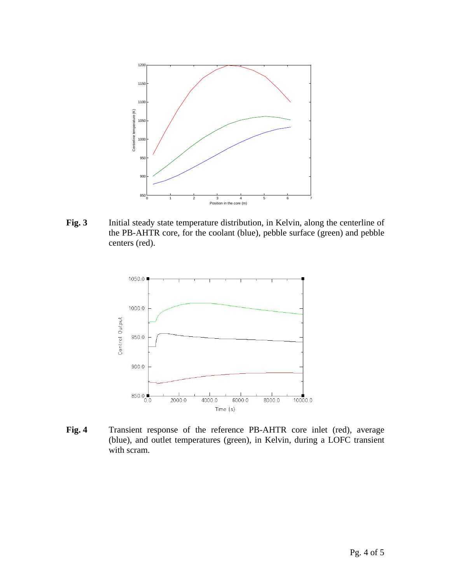

**Fig. 3** Initial steady state temperature distribution, in Kelvin, along the centerline of the PB-AHTR core, for the coolant (blue), pebble surface (green) and pebble centers (red).



**Fig. 4** Transient response of the reference PB-AHTR core inlet (red), average (blue), and outlet temperatures (green), in Kelvin, during a LOFC transient with scram.